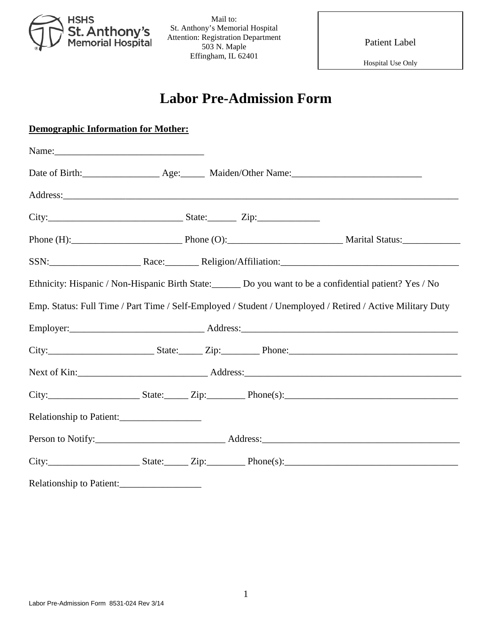

Mail to: St. Anthony's Memorial Hospital Attention: Registration Department 503 N. Maple Effingham, IL 62401

Patient Label

Hospital Use Only

## **Labor Pre-Admission Form**

| <b>Demographic Information for Mother:</b>                            |  |  |  |                                                                                                            |  |  |
|-----------------------------------------------------------------------|--|--|--|------------------------------------------------------------------------------------------------------------|--|--|
|                                                                       |  |  |  |                                                                                                            |  |  |
|                                                                       |  |  |  |                                                                                                            |  |  |
|                                                                       |  |  |  |                                                                                                            |  |  |
| $City:$ $Zip:$ $Zip:$ $\qquad \qquad$ $Zip:$ $\qquad \qquad$ $\qquad$ |  |  |  |                                                                                                            |  |  |
|                                                                       |  |  |  | Phone (H): Phone (O): Phone (O): Marital Status:                                                           |  |  |
|                                                                       |  |  |  |                                                                                                            |  |  |
|                                                                       |  |  |  | Ethnicity: Hispanic / Non-Hispanic Birth State: Do you want to be a confidential patient? Yes / No         |  |  |
|                                                                       |  |  |  | Emp. Status: Full Time / Part Time / Self-Employed / Student / Unemployed / Retired / Active Military Duty |  |  |
|                                                                       |  |  |  |                                                                                                            |  |  |
|                                                                       |  |  |  |                                                                                                            |  |  |
|                                                                       |  |  |  |                                                                                                            |  |  |
|                                                                       |  |  |  | $City:$ State: Zip: Phone(s):                                                                              |  |  |
| Relationship to Patient:                                              |  |  |  |                                                                                                            |  |  |
|                                                                       |  |  |  |                                                                                                            |  |  |
|                                                                       |  |  |  | $City:$ State: $Zip:$ Phone(s):                                                                            |  |  |
| Relationship to Patient:                                              |  |  |  |                                                                                                            |  |  |